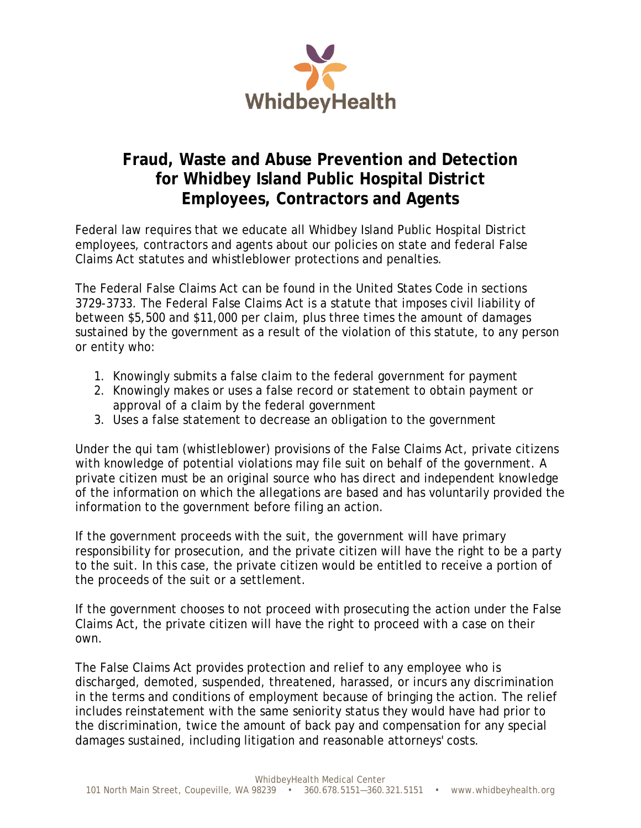

## **Fraud, Waste and Abuse Prevention and Detection for Whidbey Island Public Hospital District Employees, Contractors and Agents**

Federal law requires that we educate all Whidbey Island Public Hospital District employees, contractors and agents about our policies on state and federal False Claims Act statutes and whistleblower protections and penalties.

The Federal False Claims Act can be found in the United States Code in sections 3729-3733. The Federal False Claims Act is a statute that imposes civil liability of between \$5,500 and \$11,000 per claim, plus three times the amount of damages sustained by the government as a result of the violation of this statute, to any person or entity who:

- 1. Knowingly submits a false claim to the federal government for payment
- 2. Knowingly makes or uses a false record or statement to obtain payment or approval of a claim by the federal government
- 3. Uses a false statement to decrease an obligation to the government

Under the qui tam (whistleblower) provisions of the False Claims Act, private citizens with knowledge of potential violations may file suit on behalf of the government. A private citizen must be an original source who has direct and independent knowledge of the information on which the allegations are based and has voluntarily provided the information to the government before filing an action.

If the government proceeds with the suit, the government will have primary responsibility for prosecution, and the private citizen will have the right to be a party to the suit. In this case, the private citizen would be entitled to receive a portion of the proceeds of the suit or a settlement.

If the government chooses to not proceed with prosecuting the action under the False Claims Act, the private citizen will have the right to proceed with a case on their own.

The False Claims Act provides protection and relief to any employee who is discharged, demoted, suspended, threatened, harassed, or incurs any discrimination in the terms and conditions of employment because of bringing the action. The relief includes reinstatement with the same seniority status they would have had prior to the discrimination, twice the amount of back pay and compensation for any special damages sustained, including litigation and reasonable attorneys' costs.